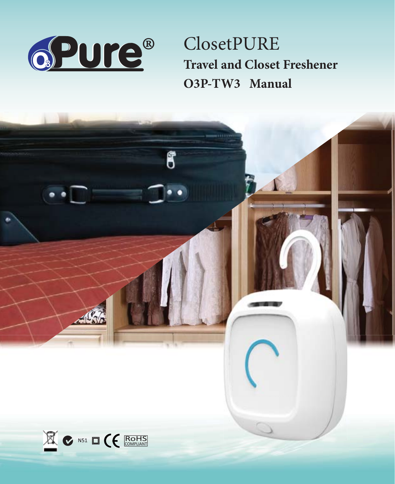

**ClosetPURE Travel and Closet Freshener** O3P-TW3 Manual

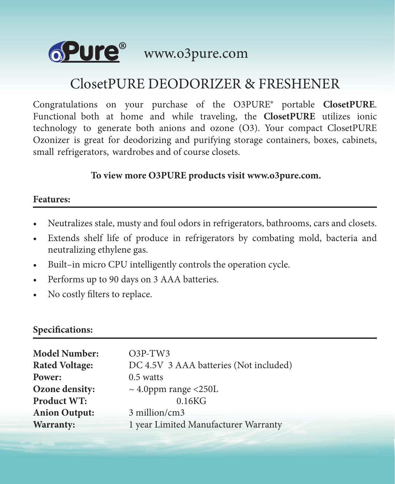

# ClosetPURE DEODORIZER & FRESHENER

Congratulations on your purchase of the O3PURE® portable **ClosetPURE**. Functional both at home and while traveling, the **ClosetPURE** utilizes ionic technology to generate both anions and ozone (O3). Your compact ClosetPURE Ozonizer is great for deodorizing and purifying storage containers, boxes, cabinets, small refrigerators, wardrobes and of course closets.

 **To view more O3PURE products visit www.o3pure.com.**

#### **Features:**

- Neutralizes stale, musty and foul odors in refrigerators, bathrooms, cars and closets.
- Extends shelf life of produce in refrigerators by combating mold, bacteria and neutralizing ethylene gas.
- Built–in micro CPU intelligently controls the operation cycle.
- Performs up to 90 days on 3 AAA batteries.
- No costly filters to replace.

## **Specifications:**

| <b>Model Number:</b>  | $O3P-TW3$                              |  |
|-----------------------|----------------------------------------|--|
| <b>Rated Voltage:</b> | DC 4.5V 3 AAA batteries (Not included) |  |
| Power:                | $0.5$ watts                            |  |
| Ozone density:        | $\sim$ 4.0ppm range <250L              |  |
| Product WT:           | 0.16KG                                 |  |
| <b>Anion Output:</b>  | 3 million/cm3                          |  |
| Warranty:             | 1 year Limited Manufacturer Warranty   |  |
|                       |                                        |  |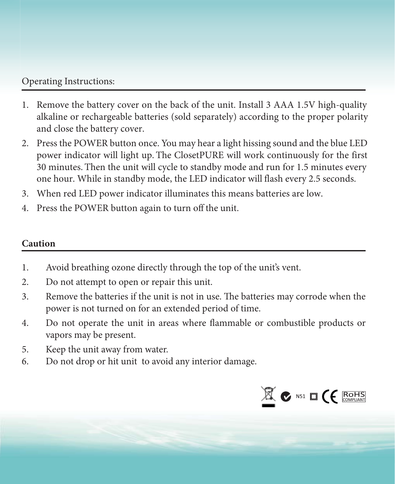# Operating Instructions:

- 1. Remove the battery cover on the back of the unit. Install 3 AAA 1.5V high-quality alkaline or rechargeable batteries (sold separately) according to the proper polarity and close the battery cover.
- 2. Press the POWER button once. You may hear a light hissing sound and the blue LED power indicator will light up. The ClosetPURE will work continuously for the first 30 minutes. Then the unit will cycle to standby mode and run for 1.5 minutes every one hour. While in standby mode, the LED indicator will flash every 2.5 seconds.
- 3. When red LED power indicator illuminates this means batteries are low.
- 4. Press the POWER button again to turn off the unit.

### **Caution**

- 1. Avoid breathing ozone directly through the top of the unit's vent.
- 2. Do not attempt to open or repair this unit.
- 3. Remove the batteries if the unit is not in use. The batteries may corrode when the power is not turned on for an extended period of time.
- 4. Do not operate the unit in areas where flammable or combustible products or vapors may be present.
- 5. Keep the unit away from water.
- 6. Do not drop or hit unit to avoid any interior damage.